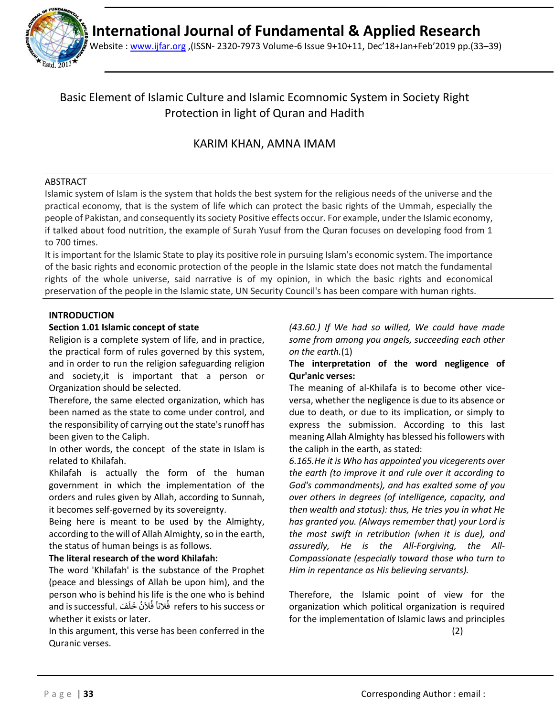

Website : [www.ijfar.org](http://www.ijfar.org/) ,(ISSN- 2320-7973 Volume-6 Issue 9+10+11, Dec'18+Jan+Feb'2019 pp.(33–39)

# Basic Element of Islamic Culture and Islamic Ecomnomic System in Society Right Protection in light of Quran and Hadith

# KARIM KHAN, AMNA IMAM

# ABSTRACT

Islamic system of Islam is the system that holds the best system for the religious needs of the universe and the practical economy, that is the system of life which can protect the basic rights of the Ummah, especially the people of Pakistan, and consequently its society Positive effects occur. For example, under the Islamic economy, if talked about food nutrition, the example of Surah Yusuf from the Quran focuses on developing food from 1 to 700 times.

It is important for the Islamic State to play its positive role in pursuing Islam's economic system. The importance of the basic rights and economic protection of the people in the Islamic state does not match the fundamental rights of the whole universe, said narrative is of my opinion, in which the basic rights and economical preservation of the people in the Islamic state, UN Security Council's has been compare with human rights.

# **INTRODUCTION**

## **Section 1.01 Islamic concept of state**

Religion is a complete system of life, and in practice, the practical form of rules governed by this system, and in order to run the religion safeguarding religion and society,it is important that a person or Organization should be selected.

Therefore, the same elected organization, which has been named as the state to come under control, and the responsibility of carrying out the state's runoff has been given to the Caliph.

In other words, the concept of the state in Islam is related to Khilafah.

Khilafah is actually the form of the human government in which the implementation of the orders and rules given by Allah, according to Sunnah, it becomes self-governed by its sovereignty.

Being here is meant to be used by the Almighty, according to the will of Allah Almighty, so in the earth, the status of human beings is as follows.

## **The literal research of the word Khilafah:**

The word 'Khilafah' is the substance of the Prophet (peace and blessings of Allah be upon him), and the person who is behind his life is the one who is behind and is successful. فَ َ ل َ خ ن َ ال ف النا ف refers to his success or ُ ُ ا<br>ا whether it exists or later.

In this argument, this verse has been conferred in the Quranic verses.

*(43.60.) If We had so willed, We could have made some from among you angels, succeeding each other on the earth.*(1)

# **The interpretation of the word negligence of Qur'anic verses:**

The meaning of al-Khilafa is to become other viceversa, whether the negligence is due to its absence or due to death, or due to its implication, or simply to express the submission. According to this last meaning Allah Almighty has blessed his followers with the caliph in the earth, as stated:

*6.165.He it is Who has appointed you vicegerents over the earth (to improve it and rule over it according to God's commandments), and has exalted some of you over others in degrees (of intelligence, capacity, and then wealth and status): thus, He tries you in what He has granted you. (Always remember that) your Lord is the most swift in retribution (when it is due), and assuredly, He is the All-Forgiving, the All-Compassionate (especially toward those who turn to Him in repentance as His believing servants).*

Therefore, the Islamic point of view for the organization which political organization is required for the implementation of Islamic laws and principles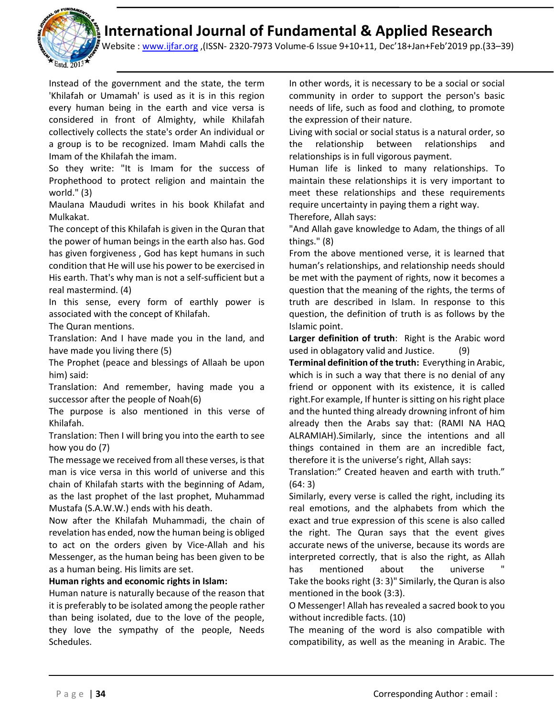

Website : [www.ijfar.org](http://www.ijfar.org/) ,(ISSN- 2320-7973 Volume-6 Issue 9+10+11, Dec'18+Jan+Feb'2019 pp.(33–39)

Instead of the government and the state, the term 'Khilafah or Umamah' is used as it is in this region every human being in the earth and vice versa is considered in front of Almighty, while Khilafah collectively collects the state's order An individual or a group is to be recognized. Imam Mahdi calls the Imam of the Khilafah the imam.

So they write: "It is Imam for the success of Prophethood to protect religion and maintain the world." (3)

Maulana Maududi writes in his book Khilafat and Mulkakat.

The concept of this Khilafah is given in the Quran that the power of human beings in the earth also has. God has given forgiveness , God has kept humans in such condition that He will use his power to be exercised in His earth. That's why man is not a self-sufficient but a real mastermind. (4)

In this sense, every form of earthly power is associated with the concept of Khilafah.

The Quran mentions.

Translation: And I have made you in the land, and have made you living there (5)

The Prophet (peace and blessings of Allaah be upon him) said:

Translation: And remember, having made you a successor after the people of Noah(6)

The purpose is also mentioned in this verse of Khilafah.

Translation: Then I will bring you into the earth to see how you do (7)

The message we received from all these verses, is that man is vice versa in this world of universe and this chain of Khilafah starts with the beginning of Adam, as the last prophet of the last prophet, Muhammad Mustafa (S.A.W.W.) ends with his death.

Now after the Khilafah Muhammadi, the chain of revelation has ended, now the human being is obliged to act on the orders given by Vice-Allah and his Messenger, as the human being has been given to be as a human being. His limits are set.

### **Human rights and economic rights in Islam:**

Human nature is naturally because of the reason that it is preferably to be isolated among the people rather than being isolated, due to the love of the people, they love the sympathy of the people, Needs Schedules.

In other words, it is necessary to be a social or social community in order to support the person's basic needs of life, such as food and clothing, to promote the expression of their nature.

Living with social or social status is a natural order, so the relationship between relationships and relationships is in full vigorous payment.

Human life is linked to many relationships. To maintain these relationships it is very important to meet these relationships and these requirements require uncertainty in paying them a right way.

Therefore, Allah says:

"And Allah gave knowledge to Adam, the things of all things." (8)

From the above mentioned verse, it is learned that human's relationships, and relationship needs should be met with the payment of rights, now it becomes a question that the meaning of the rights, the terms of truth are described in Islam. In response to this question, the definition of truth is as follows by the Islamic point.

**Larger definition of truth**: Right is the Arabic word used in oblagatory valid and Justice. (9)

**Terminal definition of the truth:** Everything in Arabic, which is in such a way that there is no denial of any friend or opponent with its existence, it is called right.For example, If hunter is sitting on his right place and the hunted thing already drowning infront of him already then the Arabs say that: (RAMI NA HAQ ALRAMIAH).Similarly, since the intentions and all things contained in them are an incredible fact, therefore it is the universe's right, Allah says:

Translation:" Created heaven and earth with truth." (64: 3)

Similarly, every verse is called the right, including its real emotions, and the alphabets from which the exact and true expression of this scene is also called the right. The Quran says that the event gives accurate news of the universe, because its words are interpreted correctly, that is also the right, as Allah has mentioned about the universe Take the books right (3: 3)" Similarly, the Quran is also mentioned in the book (3:3).

O Messenger! Allah has revealed a sacred book to you without incredible facts. (10)

The meaning of the word is also compatible with compatibility, as well as the meaning in Arabic. The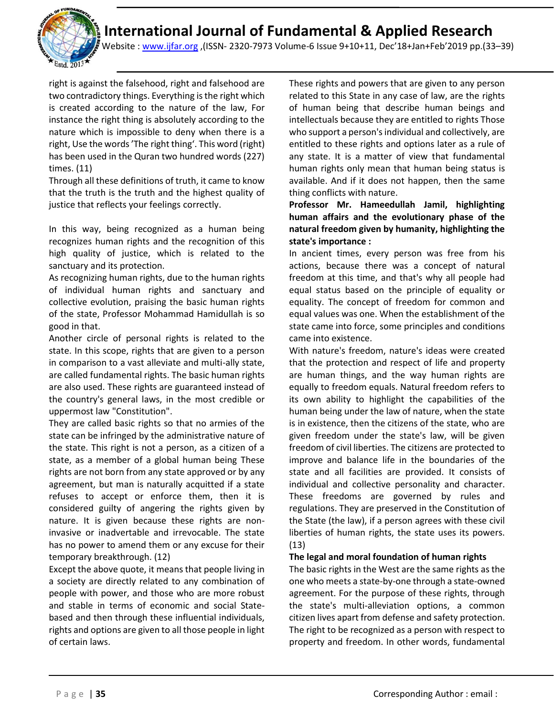

Website : [www.ijfar.org](http://www.ijfar.org/) ,(ISSN- 2320-7973 Volume-6 Issue 9+10+11, Dec'18+Jan+Feb'2019 pp.(33–39)

right is against the falsehood, right and falsehood are two contradictory things. Everything is the right which is created according to the nature of the law, For instance the right thing is absolutely according to the nature which is impossible to deny when there is a right, Use the words'The right thing'. This word (right) has been used in the Quran two hundred words (227) times. (11)

Through all these definitions of truth, it came to know that the truth is the truth and the highest quality of justice that reflects your feelings correctly.

In this way, being recognized as a human being recognizes human rights and the recognition of this high quality of justice, which is related to the sanctuary and its protection.

As recognizing human rights, due to the human rights of individual human rights and sanctuary and collective evolution, praising the basic human rights of the state, Professor Mohammad Hamidullah is so good in that.

Another circle of personal rights is related to the state. In this scope, rights that are given to a person in comparison to a vast alleviate and multi-ally state, are called fundamental rights. The basic human rights are also used. These rights are guaranteed instead of the country's general laws, in the most credible or uppermost law "Constitution".

They are called basic rights so that no armies of the state can be infringed by the administrative nature of the state. This right is not a person, as a citizen of a state, as a member of a global human being These rights are not born from any state approved or by any agreement, but man is naturally acquitted if a state refuses to accept or enforce them, then it is considered guilty of angering the rights given by nature. It is given because these rights are noninvasive or inadvertable and irrevocable. The state has no power to amend them or any excuse for their temporary breakthrough. (12)

Except the above quote, it means that people living in a society are directly related to any combination of people with power, and those who are more robust and stable in terms of economic and social Statebased and then through these influential individuals, rights and options are given to all those people in light of certain laws.

These rights and powers that are given to any person related to this State in any case of law, are the rights of human being that describe human beings and intellectuals because they are entitled to rights Those who support a person's individual and collectively, are entitled to these rights and options later as a rule of any state. It is a matter of view that fundamental human rights only mean that human being status is available. And if it does not happen, then the same thing conflicts with nature.

## **Professor Mr. Hameedullah Jamil, highlighting human affairs and the evolutionary phase of the natural freedom given by humanity, highlighting the state's importance :**

In ancient times, every person was free from his actions, because there was a concept of natural freedom at this time, and that's why all people had equal status based on the principle of equality or equality. The concept of freedom for common and equal values was one. When the establishment of the state came into force, some principles and conditions came into existence.

With nature's freedom, nature's ideas were created that the protection and respect of life and property are human things, and the way human rights are equally to freedom equals. Natural freedom refers to its own ability to highlight the capabilities of the human being under the law of nature, when the state is in existence, then the citizens of the state, who are given freedom under the state's law, will be given freedom of civil liberties. The citizens are protected to improve and balance life in the boundaries of the state and all facilities are provided. It consists of individual and collective personality and character. These freedoms are governed by rules and regulations. They are preserved in the Constitution of the State (the law), if a person agrees with these civil liberties of human rights, the state uses its powers. (13)

## **The legal and moral foundation of human rights**

The basic rights in the West are the same rights as the one who meets a state-by-one through a state-owned agreement. For the purpose of these rights, through the state's multi-alleviation options, a common citizen lives apart from defense and safety protection. The right to be recognized as a person with respect to property and freedom. In other words, fundamental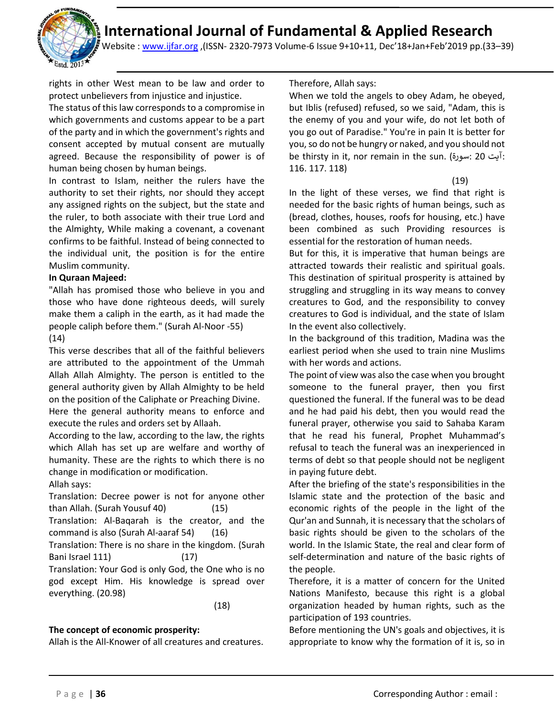

Website : [www.ijfar.org](http://www.ijfar.org/) ,(ISSN- 2320-7973 Volume-6 Issue 9+10+11, Dec'18+Jan+Feb'2019 pp.(33–39)

rights in other West mean to be law and order to protect unbelievers from injustice and injustice.

The status of this law corresponds to a compromise in which governments and customs appear to be a part of the party and in which the government's rights and consent accepted by mutual consent are mutually agreed. Because the responsibility of power is of human being chosen by human beings.

In contrast to Islam, neither the rulers have the authority to set their rights, nor should they accept any assigned rights on the subject, but the state and the ruler, to both associate with their true Lord and the Almighty, While making a covenant, a covenant confirms to be faithful. Instead of being connected to the individual unit, the position is for the entire Muslim community.

#### **In Quraan Majeed:**

"Allah has promised those who believe in you and those who have done righteous deeds, will surely make them a caliph in the earth, as it had made the people caliph before them." (Surah Al-Noor -55) (14)

This verse describes that all of the faithful believers are attributed to the appointment of the Ummah Allah Allah Almighty. The person is entitled to the general authority given by Allah Almighty to be held

on the position of the Caliphate or Preaching Divine. Here the general authority means to enforce and execute the rules and orders set by Allaah.

According to the law, according to the law, the rights which Allah has set up are welfare and worthy of humanity. These are the rights to which there is no change in modification or modification.

Allah says:

Translation: Decree power is not for anyone other than Allah. (Surah Yousuf 40) (15) Translation: Al-Baqarah is the creator, and the command is also (Surah Al-aaraf 54) (16) Translation: There is no share in the kingdom. (Surah Bani Israel 111) (17) Translation: Your God is only God, the One who is no

god except Him. His knowledge is spread over everything. (20.98)

(18)

### **The concept of economic prosperity:**

Allah is the All-Knower of all creatures and creatures.

#### Therefore, Allah says:

When we told the angels to obey Adam, he obeyed, but Iblis (refused) refused, so we said, "Adam, this is the enemy of you and your wife, do not let both of you go out of Paradise." You're in pain It is better for you, so do not be hungry or naked, and you should not be thirsty in it, nor remain in the sun. (سورۃ: 20 آیت: 116. 117. 118)

(19)

In the light of these verses, we find that right is needed for the basic rights of human beings, such as (bread, clothes, houses, roofs for housing, etc.) have been combined as such Providing resources is essential for the restoration of human needs.

But for this, it is imperative that human beings are attracted towards their realistic and spiritual goals. This destination of spiritual prosperity is attained by struggling and struggling in its way means to convey creatures to God, and the responsibility to convey creatures to God is individual, and the state of Islam In the event also collectively.

In the background of this tradition, Madina was the earliest period when she used to train nine Muslims with her words and actions.

The point of view was also the case when you brought someone to the funeral prayer, then you first questioned the funeral. If the funeral was to be dead and he had paid his debt, then you would read the funeral prayer, otherwise you said to Sahaba Karam that he read his funeral, Prophet Muhammad's refusal to teach the funeral was an inexperienced in terms of debt so that people should not be negligent in paying future debt.

After the briefing of the state's responsibilities in the Islamic state and the protection of the basic and economic rights of the people in the light of the Qur'an and Sunnah, it is necessary that the scholars of basic rights should be given to the scholars of the world. In the Islamic State, the real and clear form of self-determination and nature of the basic rights of the people.

Therefore, it is a matter of concern for the United Nations Manifesto, because this right is a global organization headed by human rights, such as the participation of 193 countries.

Before mentioning the UN's goals and objectives, it is appropriate to know why the formation of it is, so in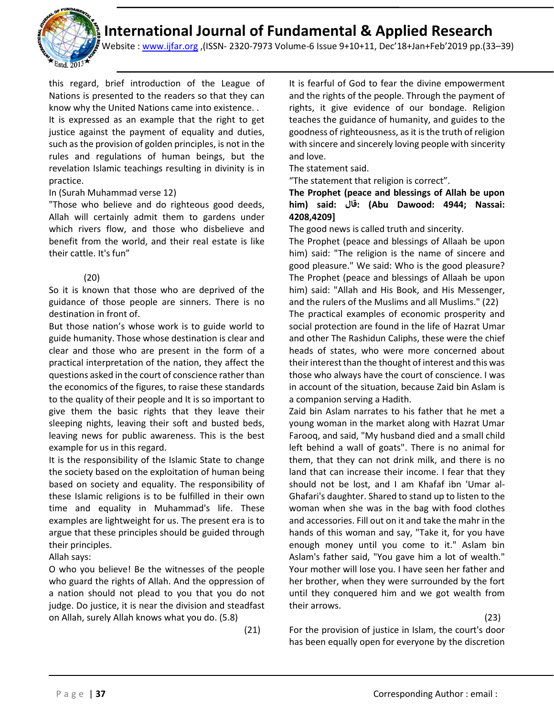

Website : [www.ijfar.org](http://www.ijfar.org/) ,(ISSN- 2320-7973 Volume-6 Issue 9+10+11, Dec'18+Jan+Feb'2019 pp.(33–39)

this regard, brief introduction of the League of Nations is presented to the readers so that they can know why the United Nations came into existence. .

It is expressed as an example that the right to get justice against the payment of equality and duties, such as the provision of golden principles, is not in the rules and regulations of human beings, but the revelation Islamic teachings resulting in divinity is in practice.

#### In (Surah Muhammad verse 12)

"Those who believe and do righteous good deeds, Allah will certainly admit them to gardens under which rivers flow, and those who disbelieve and benefit from the world, and their real estate is like their cattle. It's fun"

### (20)

So it is known that those who are deprived of the guidance of those people are sinners. There is no destination in front of.

But those nation's whose work is to guide world to guide humanity. Those whose destination is clear and clear and those who are present in the form of a practical interpretation of the nation, they affect the questions asked in the court of conscience rather than the economics of the figures, to raise these standards to the quality of their people and It is so important to give them the basic rights that they leave their sleeping nights, leaving their soft and busted beds, leaving news for public awareness. This is the best example for us in this regard.

It is the responsibility of the Islamic State to change the society based on the exploitation of human being based on society and equality. The responsibility of these Islamic religions is to be fulfilled in their own time and equality in Muhammad's life. These examples are lightweight for us. The present era is to argue that these principles should be guided through their principles.

Allah says:

O who you believe! Be the witnesses of the people who guard the rights of Allah. And the oppression of a nation should not plead to you that you do not judge. Do justice, it is near the division and steadfast on Allah, surely Allah knows what you do. (5.8)

(21)

It is fearful of God to fear the divine empowerment and the rights of the people. Through the payment of rights, it give evidence of our bondage. Religion teaches the guidance of humanity, and guides to the goodness of righteousness, as it is the truth of religion with sincere and sincerely loving people with sincerity and love.

The statement said.

"The statement that religion is correct".

## **The Prophet (peace and blessings of Allah be upon him) said: قال:) Abu Dawood: 4944; Nassai: 4208,4209]**

The good news is called truth and sincerity.

The Prophet (peace and blessings of Allaah be upon him) said: "The religion is the name of sincere and good pleasure." We said: Who is the good pleasure? The Prophet (peace and blessings of Allaah be upon him) said: "Allah and His Book, and His Messenger, and the rulers of the Muslims and all Muslims." (22) The practical examples of economic prosperity and social protection are found in the life of Hazrat Umar and other The Rashidun Caliphs, these were the chief heads of states, who were more concerned about their interest than the thought of interest and this was those who always have the court of conscience. I was in account of the situation, because Zaid bin Aslam is a companion serving a Hadith.

Zaid bin Aslam narrates to his father that he met a young woman in the market along with Hazrat Umar Farooq, and said, "My husband died and a small child left behind a wall of goats". There is no animal for them, that they can not drink milk, and there is no land that can increase their income. I fear that they should not be lost, and I am Khafaf ibn 'Umar al-Ghafari's daughter. Shared to stand up to listen to the woman when she was in the bag with food clothes and accessories. Fill out on it and take the mahr in the hands of this woman and say, "Take it, for you have enough money until you come to it." Aslam bin Aslam's father said, "You gave him a lot of wealth." Your mother will lose you. I have seen her father and her brother, when they were surrounded by the fort until they conquered him and we got wealth from their arrows.

(23)

For the provision of justice in Islam, the court's door has been equally open for everyone by the discretion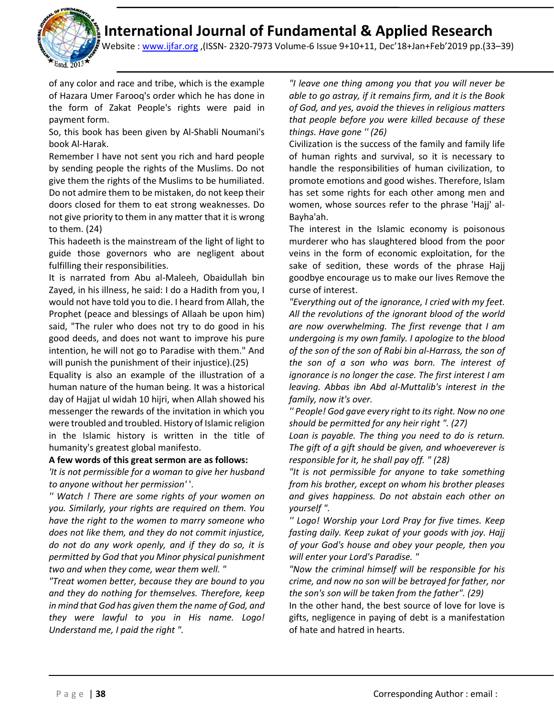j

Website : [www.ijfar.org](http://www.ijfar.org/) ,(ISSN- 2320-7973 Volume-6 Issue 9+10+11, Dec'18+Jan+Feb'2019 pp.(33–39)

of any color and race and tribe, which is the example of Hazara Umer Farooq's order which he has done in the form of Zakat People's rights were paid in payment form.

So, this book has been given by Al-Shabli Noumani's book Al-Harak.

Remember I have not sent you rich and hard people by sending people the rights of the Muslims. Do not give them the rights of the Muslims to be humiliated. Do not admire them to be mistaken, do not keep their doors closed for them to eat strong weaknesses. Do not give priority to them in any matter that it is wrong to them. (24)

This hadeeth is the mainstream of the light of light to guide those governors who are negligent about fulfilling their responsibilities.

It is narrated from Abu al-Maleeh, Obaidullah bin Zayed, in his illness, he said: I do a Hadith from you, I would not have told you to die. I heard from Allah, the Prophet (peace and blessings of Allaah be upon him) said, "The ruler who does not try to do good in his good deeds, and does not want to improve his pure intention, he will not go to Paradise with them." And will punish the punishment of their injustice).(25)

Equality is also an example of the illustration of a human nature of the human being. It was a historical day of Hajjat ul widah 10 hijri, when Allah showed his messenger the rewards of the invitation in which you were troubled and troubled. History of Islamic religion in the Islamic history is written in the title of humanity's greatest global manifesto.

### **A few words of this great sermon are as follows:**

*'It is not permissible for a woman to give her husband to anyone without her permission'* '.

*'' Watch ! There are some rights of your women on you. Similarly, your rights are required on them. You have the right to the women to marry someone who does not like them, and they do not commit injustice, do not do any work openly, and if they do so, it is permitted by God that you Minor physical punishment two and when they come, wear them well. "*

*"Treat women better, because they are bound to you and they do nothing for themselves. Therefore, keep in mind that God has given them the name of God, and they were lawful to you in His name. Logo! Understand me, I paid the right ".*

*"I leave one thing among you that you will never be able to go astray, if it remains firm, and it is the Book of God, and yes, avoid the thieves in religious matters that people before you were killed because of these things. Have gone '' (26)*

Civilization is the success of the family and family life of human rights and survival, so it is necessary to handle the responsibilities of human civilization, to promote emotions and good wishes. Therefore, Islam has set some rights for each other among men and women, whose sources refer to the phrase 'Hajj' al-Bayha'ah.

The interest in the Islamic economy is poisonous murderer who has slaughtered blood from the poor veins in the form of economic exploitation, for the sake of sedition, these words of the phrase Hajj goodbye encourage us to make our lives Remove the curse of interest.

*"Everything out of the ignorance, I cried with my feet. All the revolutions of the ignorant blood of the world are now overwhelming. The first revenge that I am undergoing is my own family. I apologize to the blood of the son of the son of Rabi bin al-Harrass, the son of the son of a son who was born. The interest of ignorance is no longer the case. The first interest I am leaving. Abbas ibn Abd al-Muttalib's interest in the family, now it's over.* 

*'' People! God gave every right to its right. Now no one should be permitted for any heir right ". (27)*

*Loan is payable. The thing you need to do is return. The gift of a gift should be given, and whoeverever is responsible for it, he shall pay off. " (28)*

*"It is not permissible for anyone to take something from his brother, except on whom his brother pleases and gives happiness. Do not abstain each other on yourself ".*

*'' Logo! Worship your Lord Pray for five times. Keep fasting daily. Keep zukat of your goods with joy. Hajj of your God's house and obey your people, then you will enter your Lord's Paradise. "*

*"Now the criminal himself will be responsible for his crime, and now no son will be betrayed for father, nor the son's son will be taken from the father". (29)*

In the other hand, the best source of love for love is gifts, negligence in paying of debt is a manifestation of hate and hatred in hearts.